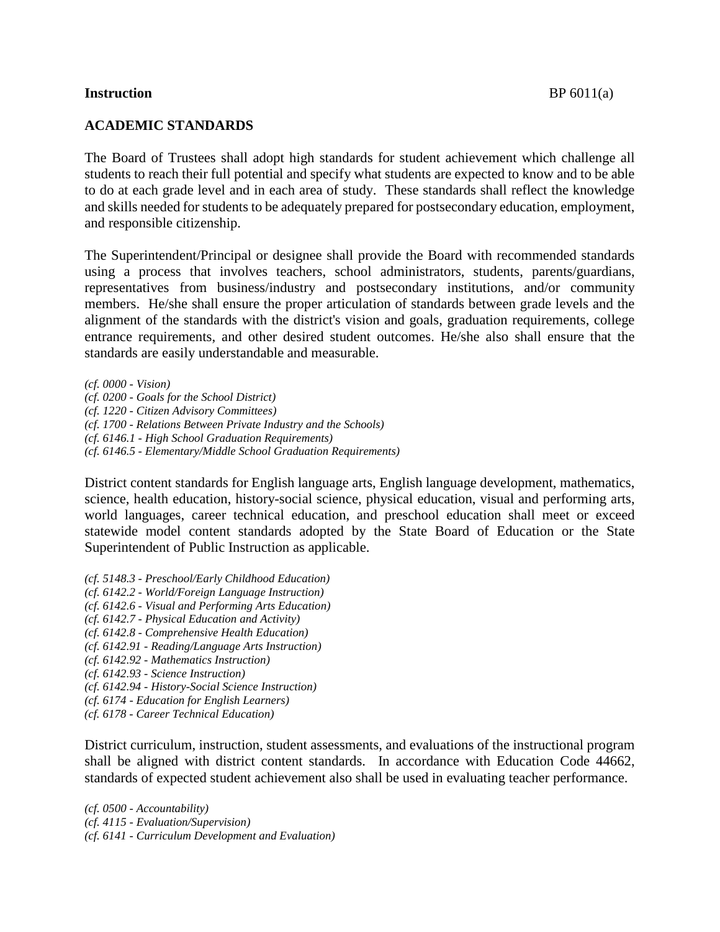## **Instruction** BP 6011(a)

## **ACADEMIC STANDARDS**

The Board of Trustees shall adopt high standards for student achievement which challenge all students to reach their full potential and specify what students are expected to know and to be able to do at each grade level and in each area of study. These standards shall reflect the knowledge and skills needed for students to be adequately prepared for postsecondary education, employment, and responsible citizenship.

The Superintendent/Principal or designee shall provide the Board with recommended standards using a process that involves teachers, school administrators, students, parents/guardians, representatives from business/industry and postsecondary institutions, and/or community members. He/she shall ensure the proper articulation of standards between grade levels and the alignment of the standards with the district's vision and goals, graduation requirements, college entrance requirements, and other desired student outcomes. He/she also shall ensure that the standards are easily understandable and measurable.

*(cf. 0000 - Vision) (cf. 0200 - Goals for the School District) (cf. 1220 - Citizen Advisory Committees) (cf. 1700 - Relations Between Private Industry and the Schools) (cf. 6146.1 - High School Graduation Requirements) (cf. 6146.5 - Elementary/Middle School Graduation Requirements)*

District content standards for English language arts, English language development, mathematics, science, health education, history-social science, physical education, visual and performing arts, world languages, career technical education, and preschool education shall meet or exceed statewide model content standards adopted by the State Board of Education or the State Superintendent of Public Instruction as applicable.

*(cf. 5148.3 - Preschool/Early Childhood Education) (cf. 6142.2 - World/Foreign Language Instruction)*

*(cf. 6142.6 - Visual and Performing Arts Education)*

- *(cf. 6142.7 - Physical Education and Activity)*
- *(cf. 6142.8 - Comprehensive Health Education)*
- *(cf. 6142.91 - Reading/Language Arts Instruction)*
- *(cf. 6142.92 - Mathematics Instruction)*
- *(cf. 6142.93 - Science Instruction)*
- *(cf. 6142.94 - History-Social Science Instruction)*
- *(cf. 6174 - Education for English Learners)*
- *(cf. 6178 - Career Technical Education)*

District curriculum, instruction, student assessments, and evaluations of the instructional program shall be aligned with district content standards. In accordance with Education Code 44662, standards of expected student achievement also shall be used in evaluating teacher performance.

*(cf. 0500 - Accountability) (cf. 4115 - Evaluation/Supervision) (cf. 6141 - Curriculum Development and Evaluation)*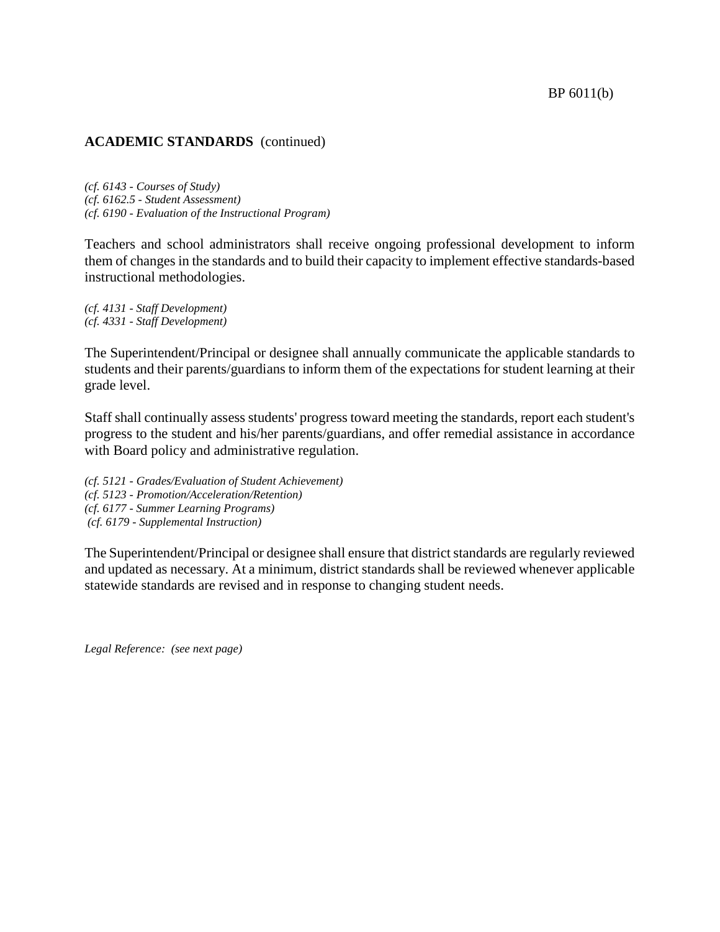# **ACADEMIC STANDARDS** (continued)

*(cf. 6143 - Courses of Study) (cf. 6162.5 - Student Assessment) (cf. 6190 - Evaluation of the Instructional Program)*

Teachers and school administrators shall receive ongoing professional development to inform them of changes in the standards and to build their capacity to implement effective standards-based instructional methodologies.

*(cf. 4131 - Staff Development) (cf. 4331 - Staff Development)*

The Superintendent/Principal or designee shall annually communicate the applicable standards to students and their parents/guardians to inform them of the expectations for student learning at their grade level.

Staff shall continually assess students' progress toward meeting the standards, report each student's progress to the student and his/her parents/guardians, and offer remedial assistance in accordance with Board policy and administrative regulation.

*(cf. 5121 - Grades/Evaluation of Student Achievement) (cf. 5123 - Promotion/Acceleration/Retention) (cf. 6177 - Summer Learning Programs) (cf. 6179 - Supplemental Instruction)*

The Superintendent/Principal or designee shall ensure that district standards are regularly reviewed and updated as necessary. At a minimum, district standards shall be reviewed whenever applicable statewide standards are revised and in response to changing student needs.

*Legal Reference: (see next page)*